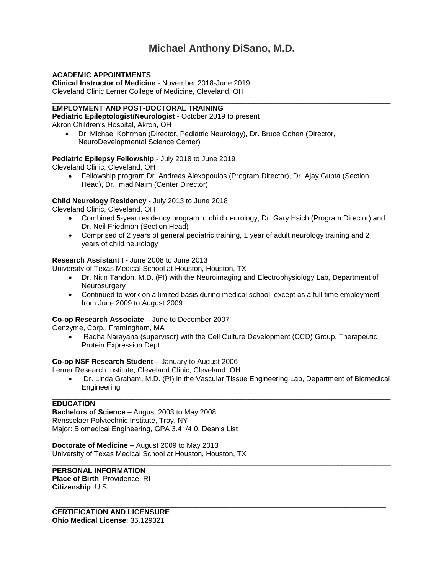\_\_\_\_\_\_\_\_\_\_\_\_\_\_\_\_\_\_\_\_\_\_\_\_\_\_\_\_\_\_\_\_\_\_\_\_\_\_\_\_\_\_\_\_\_\_\_\_\_\_\_\_\_\_\_\_\_\_\_\_\_\_\_\_\_\_\_\_\_\_\_\_\_\_\_\_\_\_\_\_\_\_\_\_

\_\_\_\_\_\_\_\_\_\_\_\_\_\_\_\_\_\_\_\_\_\_\_\_\_\_\_\_\_\_\_\_\_\_\_\_\_\_\_\_\_\_\_\_\_\_\_\_\_\_\_\_\_\_\_\_\_\_\_\_\_\_\_\_\_\_\_\_\_\_\_\_\_\_\_\_\_\_\_\_\_\_\_\_

# **ACADEMIC APPOINTMENTS**

**Clinical Instructor of Medicine** - November 2018-June 2019 Cleveland Clinic Lerner College of Medicine, Cleveland, OH

# **EMPLOYMENT AND POST-DOCTORAL TRAINING**

**Pediatric Epileptologist/Neurologist** - October 2019 to present Akron Children's Hospital, Akron, OH

 Dr. Michael Kohrman (Director, Pediatric Neurology), Dr. Bruce Cohen (Director, NeuroDevelopmental Science Center)

# **Pediatric Epilepsy Fellowship** - July 2018 to June 2019

Cleveland Clinic, Cleveland, OH

 Fellowship program Dr. Andreas Alexopoulos (Program Director), Dr. Ajay Gupta (Section Head), Dr. Imad Najm (Center Director)

# **Child Neurology Residency -** July 2013 to June 2018

Cleveland Clinic, Cleveland, OH

- Combined 5-year residency program in child neurology, Dr. Gary Hsich (Program Director) and Dr. Neil Friedman (Section Head)
- Comprised of 2 years of general pediatric training, 1 year of adult neurology training and 2 years of child neurology

# **Research Assistant I -** June 2008 to June 2013

University of Texas Medical School at Houston, Houston, TX

- Dr. Nitin Tandon, M.D. (PI) with the Neuroimaging and Electrophysiology Lab, Department of **Neurosurgery**
- Continued to work on a limited basis during medical school, except as a full time employment from June 2009 to August 2009

### **Co-op Research Associate –** June to December 2007

Genzyme, Corp., Framingham, MA

 Radha Narayana (supervisor) with the Cell Culture Development (CCD) Group, Therapeutic Protein Expression Dept.

### **Co-op NSF Research Student –** January to August 2006

Lerner Research Institute, Cleveland Clinic, Cleveland, OH

 Dr. Linda Graham, M.D. (PI) in the Vascular Tissue Engineering Lab, Department of Biomedical Engineering

\_\_\_\_\_\_\_\_\_\_\_\_\_\_\_\_\_\_\_\_\_\_\_\_\_\_\_\_\_\_\_\_\_\_\_\_\_\_\_\_\_\_\_\_\_\_\_\_\_\_\_\_\_\_\_\_\_\_\_\_\_\_\_\_\_\_\_\_\_\_\_\_\_\_\_\_\_\_\_\_\_\_

#### \_\_\_\_\_\_\_\_\_\_\_\_\_\_\_\_\_\_\_\_\_\_\_\_\_\_\_\_\_\_\_\_\_\_\_\_\_\_\_\_\_\_\_\_\_\_\_\_\_\_\_\_\_\_\_\_\_\_\_\_\_\_\_\_\_\_\_\_\_\_\_\_\_\_\_\_\_\_\_\_\_\_\_\_ **EDUCATION**

**Bachelors of Science –** August 2003 to May 2008 Rensselaer Polytechnic Institute, Troy, NY Major: Biomedical Engineering, GPA 3.41/4.0, Dean's List

**Doctorate of Medicine –** August 2009 to May 2013 University of Texas Medical School at Houston, Houston, TX

# \_\_\_\_\_\_\_\_\_\_\_\_\_\_\_\_\_\_\_\_\_\_\_\_\_\_\_\_\_\_\_\_\_\_\_\_\_\_\_\_\_\_\_\_\_\_\_\_\_\_\_\_\_\_\_\_\_\_\_\_\_\_\_\_\_\_\_\_\_\_\_\_\_\_\_\_\_\_\_\_\_\_\_\_ **PERSONAL INFORMATION**

**Place of Birth**: Providence, RI **Citizenship**: U.S.

**CERTIFICATION AND LICENSURE Ohio Medical License**: 35.129321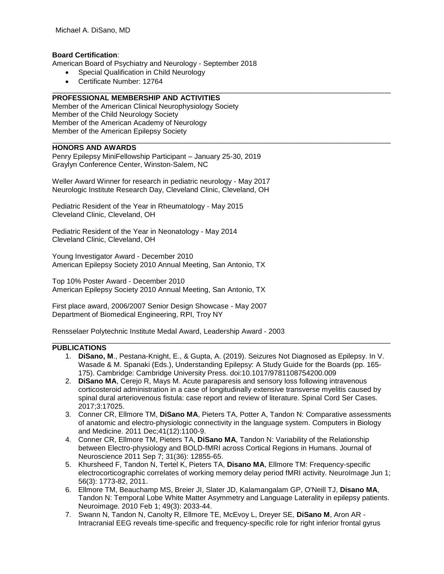### **Board Certification**:

American Board of Psychiatry and Neurology - September 2018

- Special Qualification in Child Neurology
- Certificate Number: 12764

### \_\_\_\_\_\_\_\_\_\_\_\_\_\_\_\_\_\_\_\_\_\_\_\_\_\_\_\_\_\_\_\_\_\_\_\_\_\_\_\_\_\_\_\_\_\_\_\_\_\_\_\_\_\_\_\_\_\_\_\_\_\_\_\_\_\_\_\_\_\_\_\_\_\_\_\_\_\_\_\_\_\_\_\_ **PROFESSIONAL MEMBERSHIP AND ACTIVITIES**

Member of the American Clinical Neurophysiology Society Member of the Child Neurology Society Member of the American Academy of Neurology Member of the American Epilepsy Society

# **HONORS AND AWARDS**

Penry Epilepsy MiniFellowship Participant – January 25-30, 2019 Graylyn Conference Center, Winston-Salem, NC

Weller Award Winner for research in pediatric neurology - May 2017 Neurologic Institute Research Day, Cleveland Clinic, Cleveland, OH

Pediatric Resident of the Year in Rheumatology - May 2015 Cleveland Clinic, Cleveland, OH

Pediatric Resident of the Year in Neonatology - May 2014 Cleveland Clinic, Cleveland, OH

Young Investigator Award - December 2010 American Epilepsy Society 2010 Annual Meeting, San Antonio, TX

Top 10% Poster Award - December 2010 American Epilepsy Society 2010 Annual Meeting, San Antonio, TX

First place award, 2006/2007 Senior Design Showcase - May 2007 Department of Biomedical Engineering, RPI, Troy NY

Rensselaer Polytechnic Institute Medal Award, Leadership Award - 2003

### **PUBLICATIONS**

1. **DiSano, M**., Pestana-Knight, E., & Gupta, A. (2019). Seizures Not Diagnosed as Epilepsy. In V. Wasade & M. Spanaki (Eds.), Understanding Epilepsy: A Study Guide for the Boards (pp. 165- 175). Cambridge: Cambridge University Press. doi:10.1017/9781108754200.009

\_\_\_\_\_\_\_\_\_\_\_\_\_\_\_\_\_\_\_\_\_\_\_\_\_\_\_\_\_\_\_\_\_\_\_\_\_\_\_\_\_\_\_\_\_\_\_\_\_\_\_\_\_\_\_\_\_\_\_\_\_\_\_\_\_\_\_\_\_\_\_\_\_\_\_\_\_\_\_\_\_\_\_\_

\_\_\_\_\_\_\_\_\_\_\_\_\_\_\_\_\_\_\_\_\_\_\_\_\_\_\_\_\_\_\_\_\_\_\_\_\_\_\_\_\_\_\_\_\_\_\_\_\_\_\_\_\_\_\_\_\_\_\_\_\_\_\_\_\_\_\_\_\_\_\_\_\_\_\_\_\_\_\_\_\_\_\_\_

- 2. **DiSano MA**, Cerejo R, Mays M. Acute paraparesis and sensory loss following intravenous corticosteroid administration in a case of longitudinally extensive transverse myelitis caused by spinal dural arteriovenous fistula: case report and review of literature. Spinal Cord Ser Cases. 2017;3:17025.
- 3. Conner CR, Ellmore TM, **DiSano MA**, Pieters TA, Potter A, Tandon N: Comparative assessments of anatomic and electro-physiologic connectivity in the language system. Computers in Biology and Medicine. 2011 Dec;41(12):1100-9.
- 4. Conner CR, Ellmore TM, Pieters TA, **DiSano MA**, Tandon N: Variability of the Relationship between Electro-physiology and BOLD-fMRI across Cortical Regions in Humans. Journal of Neuroscience 2011 Sep 7; 31(36): 12855-65.
- 5. Khursheed F, Tandon N, Tertel K, Pieters TA, **Disano MA**, Ellmore TM: Frequency-specific electrocorticographic correlates of working memory delay period fMRI activity. NeuroImage Jun 1; 56(3): 1773-82, 2011.
- 6. Ellmore TM, Beauchamp MS, Breier JI, Slater JD, Kalamangalam GP, O'Neill TJ, **Disano MA**, Tandon N: Temporal Lobe White Matter Asymmetry and Language Laterality in epilepsy patients. Neuroimage. 2010 Feb 1; 49(3): 2033-44.
- 7. Swann N, Tandon N, Canolty R, Ellmore TE, McEvoy L, Dreyer SE, **DiSano M**, Aron AR Intracranial EEG reveals time-specific and frequency-specific role for right inferior frontal gyrus